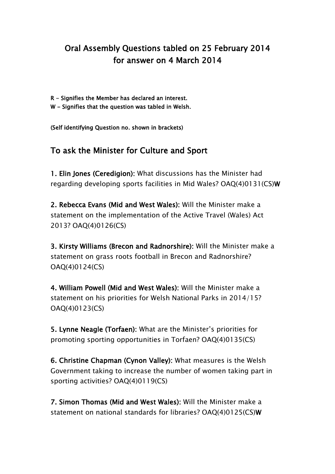## Oral Assembly Questions tabled on 25 February 2014 for answer on 4 March 2014

- R Signifies the Member has declared an interest.
- W Signifies that the question was tabled in Welsh.

(Self identifying Question no. shown in brackets)

## To ask the Minister for Culture and Sport

1. Elin Jones (Ceredigion): What discussions has the Minister had regarding developing sports facilities in Mid Wales? OAQ(4)0131(CS)W

2. Rebecca Evans (Mid and West Wales): Will the Minister make a statement on the implementation of the Active Travel (Wales) Act 2013? OAQ(4)0126(CS)

3. Kirsty Williams (Brecon and Radnorshire): Will the Minister make a statement on grass roots football in Brecon and Radnorshire? OAQ(4)0124(CS)

4. William Powell (Mid and West Wales): Will the Minister make a statement on his priorities for Welsh National Parks in 2014/15? OAQ(4)0123(CS)

5. Lynne Neagle (Torfaen): What are the Minister's priorities for promoting sporting opportunities in Torfaen? OAQ(4)0135(CS)

6. Christine Chapman (Cynon Valley): What measures is the Welsh Government taking to increase the number of women taking part in sporting activities? OAQ(4)0119(CS)

7. Simon Thomas (Mid and West Wales): Will the Minister make a statement on national standards for libraries? OAQ(4)0125(CS)W